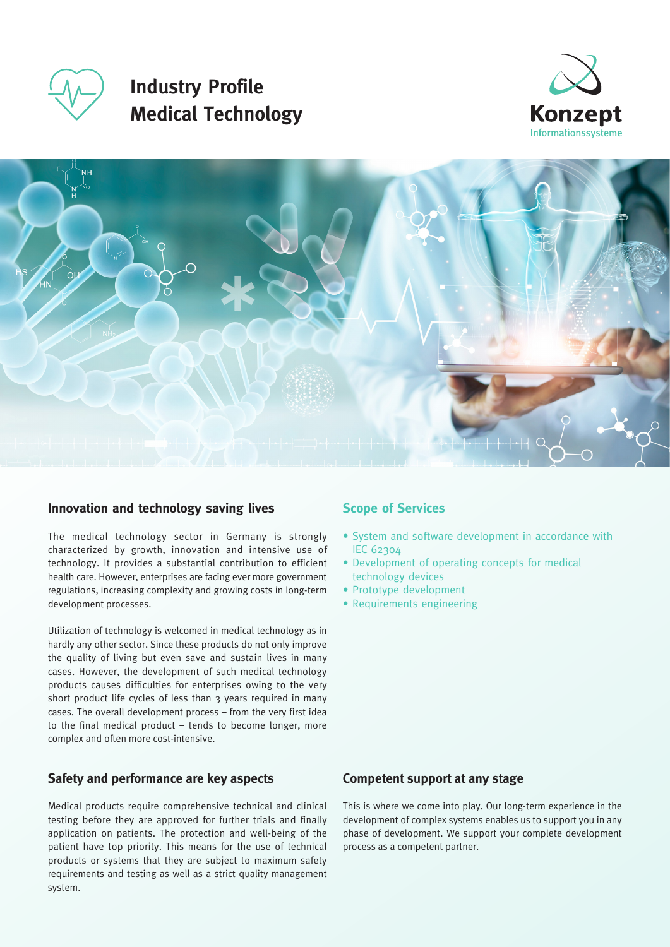

**Industry Profile Medical Technology**





## **Innovation and technology saving lives**

The medical technology sector in Germany is strongly characterized by growth, innovation and intensive use of technology. It provides a substantial contribution to efficient health care. However, enterprises are facing ever more government regulations, increasing complexity and growing costs in long-term development processes.

Utilization of technology is welcomed in medical technology as in hardly any other sector. Since these products do not only improve the quality of living but even save and sustain lives in many cases. However, the development of such medical technology products causes difficulties for enterprises owing to the very short product life cycles of less than 3 years required in many cases. The overall development process – from the very first idea to the final medical product – tends to become longer, more complex and often more cost-intensive.

# **Safety and performance are key aspects**

Medical products require comprehensive technical and clinical testing before they are approved for further trials and finally application on patients. The protection and well-being of the patient have top priority. This means for the use of technical products or systems that they are subject to maximum safety requirements and testing as well as a strict quality management system.

## **Scope of Services**

- System and software development in accordance with IEC 62304
- Development of operating concepts for medical technology devices
- Prototype development
- Requirements engineering

# **Competent support at any stage**

This is where we come into play. Our long-term experience in the development of complex systems enables us to support you in any phase of development. We support your complete development process as a competent partner.